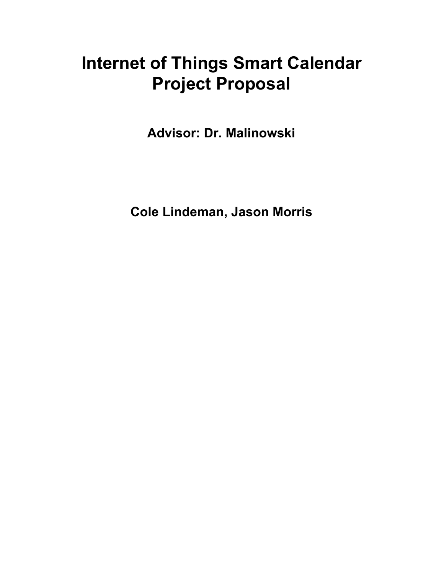# **Internet of Things Smart Calendar Project Proposal**

**Advisor: Dr. Malinowski**

**Cole Lindeman, Jason Morris**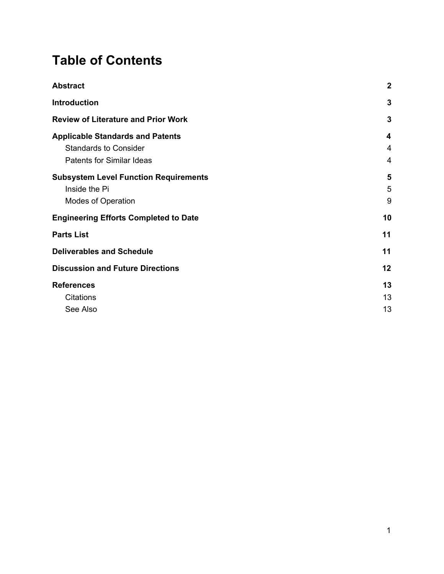## **Table of Contents**

| $\boldsymbol{2}$ |
|------------------|
| $\mathbf{3}$     |
| 3                |
| 4                |
| 4                |
| 4                |
| 5                |
| 5                |
| 9                |
| 10               |
| 11               |
| 11               |
| 12               |
| 13               |
| 13               |
| 13               |
|                  |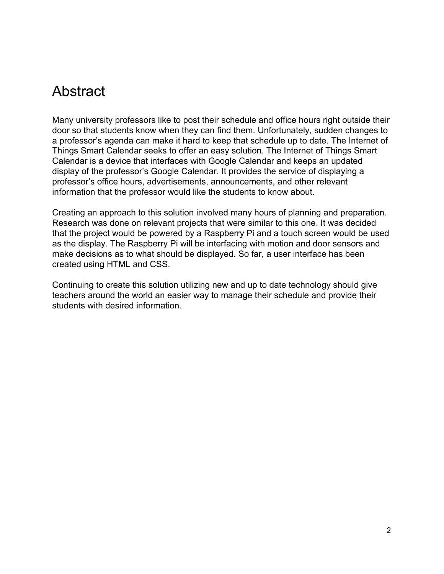### <span id="page-2-0"></span>Abstract

Many university professors like to post their schedule and office hours right outside their door so that students know when they can find them. Unfortunately, sudden changes to a professor's agenda can make it hard to keep that schedule up to date. The Internet of Things Smart Calendar seeks to offer an easy solution. The Internet of Things Smart Calendar is a device that interfaces with Google Calendar and keeps an updated display of the professor's Google Calendar. It provides the service of displaying a professor's office hours, advertisements, announcements, and other relevant information that the professor would like the students to know about.

Creating an approach to this solution involved many hours of planning and preparation. Research was done on relevant projects that were similar to this one. It was decided that the project would be powered by a Raspberry Pi and a touch screen would be used as the display. The Raspberry Pi will be interfacing with motion and door sensors and make decisions as to what should be displayed. So far, a user interface has been created using HTML and CSS.

Continuing to create this solution utilizing new and up to date technology should give teachers around the world an easier way to manage their schedule and provide their students with desired information.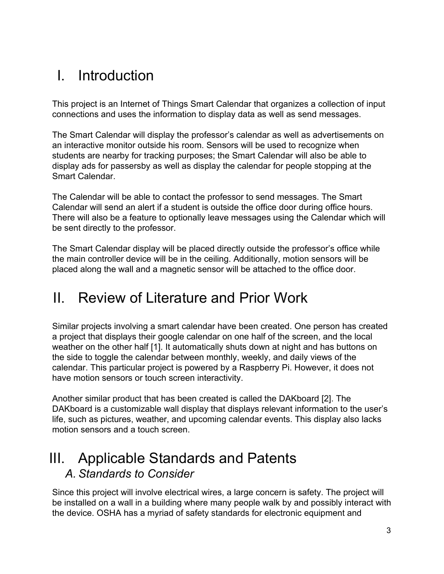## <span id="page-3-3"></span>I. Introduction

This project is an Internet of Things Smart Calendar that organizes a collection of input connections and uses the information to display data as well as send messages.

The Smart Calendar will display the professor's calendar as well as advertisements on an interactive monitor outside his room. Sensors will be used to recognize when students are nearby for tracking purposes; the Smart Calendar will also be able to display ads for passersby as well as display the calendar for people stopping at the Smart Calendar.

The Calendar will be able to contact the professor to send messages. The Smart Calendar will send an alert if a student is outside the office door during office hours. There will also be a feature to optionally leave messages using the Calendar which will be sent directly to the professor.

The Smart Calendar display will be placed directly outside the professor's office while the main controller device will be in the ceiling. Additionally, motion sensors will be placed along the wall and a magnetic sensor will be attached to the office door.

## <span id="page-3-1"></span>II. Review of Literature and Prior Work

Similar projects involving a smart calendar have been created. One person has created a project that displays their google calendar on one half of the screen, and the local weather on the other half [1]. It automatically shuts down at night and has buttons on the side to toggle the calendar between monthly, weekly, and daily views of the calendar. This particular project is powered by a Raspberry Pi. However, it does not have motion sensors or touch screen interactivity.

Another similar product that has been created is called the DAKboard [2]. The DAKboard is a customizable wall display that displays relevant information to the user's life, such as pictures, weather, and upcoming calendar events. This display also lacks motion sensors and a touch screen.

### <span id="page-3-2"></span><span id="page-3-0"></span>III. Applicable Standards and Patents *A. Standards to Consider*

Since this project will involve electrical wires, a large concern is safety. The project will be installed on a wall in a building where many people walk by and possibly interact with the device. OSHA has a myriad of safety standards for electronic equipment and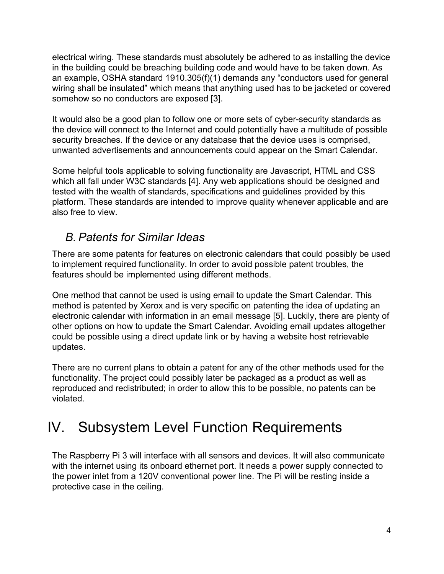electrical wiring. These standards must absolutely be adhered to as installing the device in the building could be breaching building code and would have to be taken down. As an example, OSHA standard 1910.305(f)(1) demands any "conductors used for general wiring shall be insulated" which means that anything used has to be jacketed or covered somehow so no conductors are exposed [3].

It would also be a good plan to follow one or more sets of cyber-security standards as the device will connect to the Internet and could potentially have a multitude of possible security breaches. If the device or any database that the device uses is comprised, unwanted advertisements and announcements could appear on the Smart Calendar.

Some helpful tools applicable to solving functionality are Javascript, HTML and CSS which all fall under W3C standards [4]. Any web applications should be designed and tested with the wealth of standards, specifications and guidelines provided by this platform. These standards are intended to improve quality whenever applicable and are also free to view.

### <span id="page-4-0"></span>*B. Patents for Similar Ideas*

There are some patents for features on electronic calendars that could possibly be used to implement required functionality. In order to avoid possible patent troubles, the features should be implemented using different methods.

One method that cannot be used is using email to update the Smart Calendar. This method is patented by Xerox and is very specific on patenting the idea of updating an electronic calendar with information in an email message [5]. Luckily, there are plenty of other options on how to update the Smart Calendar. Avoiding email updates altogether could be possible using a direct update link or by having a website host retrievable updates.

There are no current plans to obtain a patent for any of the other methods used for the functionality. The project could possibly later be packaged as a product as well as reproduced and redistributed; in order to allow this to be possible, no patents can be violated.

## <span id="page-4-1"></span>IV. Subsystem Level Function Requirements

The Raspberry Pi 3 will interface with all sensors and devices. It will also communicate with the internet using its onboard ethernet port. It needs a power supply connected to the power inlet from a 120V conventional power line. The Pi will be resting inside a protective case in the ceiling.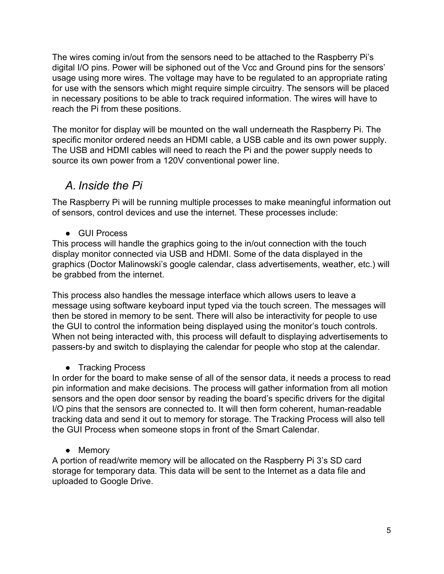The wires coming in/out from the sensors need to be attached to the Raspberry Pi's digital I/O pins. Power will be siphoned out of the Vcc and Ground pins for the sensors' usage using more wires. The voltage may have to be regulated to an appropriate rating for use with the sensors which might require simple circuitry. The sensors will be placed in necessary positions to be able to track required information. The wires will have to reach the Pi from these positions.

The monitor for display will be mounted on the wall underneath the Raspberry Pi. The specific monitor ordered needs an HDMI cable, a USB cable and its own power supply. The USB and HDMI cables will need to reach the Pi and the power supply needs to source its own power from a 120V conventional power line.

### <span id="page-5-0"></span>*A. Inside the Pi*

The Raspberry Pi will be running multiple processes to make meaningful information out of sensors, control devices and use the internet. These processes include:

● GUI Process

This process will handle the graphics going to the in/out connection with the touch display monitor connected via USB and HDMI. Some of the data displayed in the graphics (Doctor Malinowski's google calendar, class advertisements, weather, etc.) will be grabbed from the internet.

This process also handles the message interface which allows users to leave a message using software keyboard input typed via the touch screen. The messages will then be stored in memory to be sent. There will also be interactivity for people to use the GUI to control the information being displayed using the monitor's touch controls. When not being interacted with, this process will default to displaying advertisements to passers-by and switch to displaying the calendar for people who stop at the calendar.

• Tracking Process

In order for the board to make sense of all of the sensor data, it needs a process to read pin information and make decisions. The process will gather information from all motion sensors and the open door sensor by reading the board's specific drivers for the digital I/O pins that the sensors are connected to. It will then form coherent, human-readable tracking data and send it out to memory for storage. The Tracking Process will also tell the GUI Process when someone stops in front of the Smart Calendar.

• Memory

A portion of read/write memory will be allocated on the Raspberry Pi 3's SD card storage for temporary data. This data will be sent to the Internet as a data file and uploaded to Google Drive.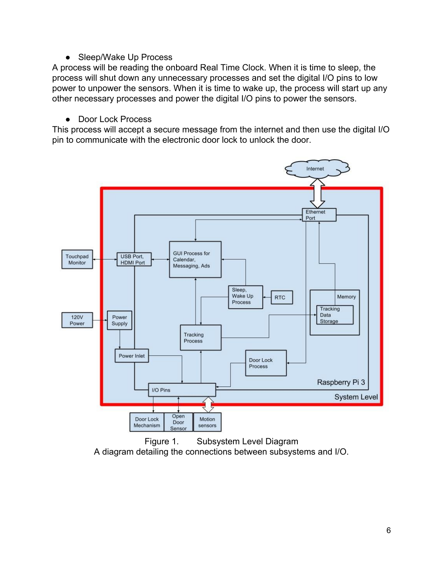#### • Sleep/Wake Up Process

A process will be reading the onboard Real Time Clock. When it is time to sleep, the process will shut down any unnecessary processes and set the digital I/O pins to low power to unpower the sensors. When it is time to wake up, the process will start up any other necessary processes and power the digital I/O pins to power the sensors.

#### ● Door Lock Process

This process will accept a secure message from the internet and then use the digital I/O pin to communicate with the electronic door lock to unlock the door.



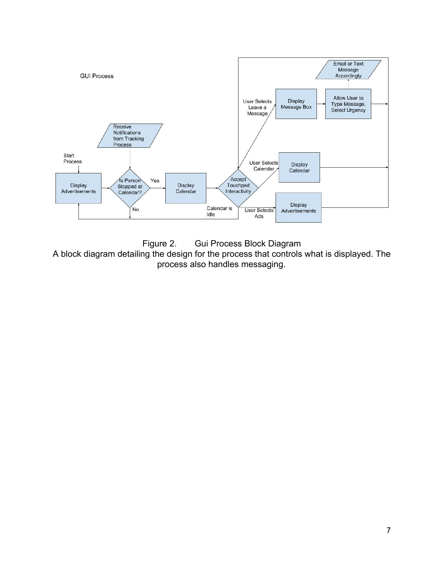

Figure 2. Gui Process Block Diagram A block diagram detailing the design for the process that controls what is displayed. The process also handles messaging.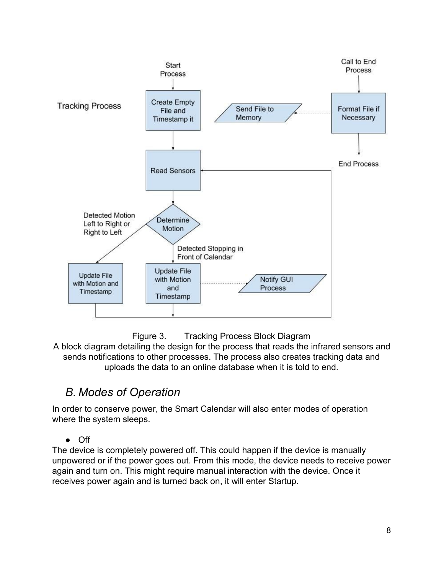



A block diagram detailing the design for the process that reads the infrared sensors and sends notifications to other processes. The process also creates tracking data and uploads the data to an online database when it is told to end.

### <span id="page-8-0"></span>*B. Modes of Operation*

In order to conserve power, the Smart Calendar will also enter modes of operation where the system sleeps.

● Off

The device is completely powered off. This could happen if the device is manually unpowered or if the power goes out. From this mode, the device needs to receive power again and turn on. This might require manual interaction with the device. Once it receives power again and is turned back on, it will enter Startup.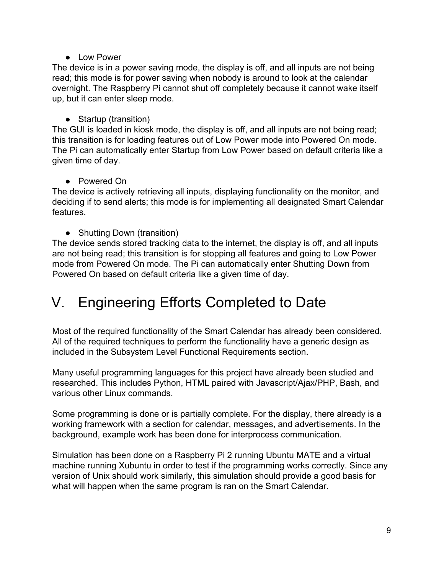● Low Power

The device is in a power saving mode, the display is off, and all inputs are not being read; this mode is for power saving when nobody is around to look at the calendar overnight. The Raspberry Pi cannot shut off completely because it cannot wake itself up, but it can enter sleep mode.

• Startup (transition)

The GUI is loaded in kiosk mode, the display is off, and all inputs are not being read; this transition is for loading features out of Low Power mode into Powered On mode. The Pi can automatically enter Startup from Low Power based on default criteria like a given time of day.

● Powered On

The device is actively retrieving all inputs, displaying functionality on the monitor, and deciding if to send alerts; this mode is for implementing all designated Smart Calendar features.

• Shutting Down (transition)

The device sends stored tracking data to the internet, the display is off, and all inputs are not being read; this transition is for stopping all features and going to Low Power mode from Powered On mode. The Pi can automatically enter Shutting Down from Powered On based on default criteria like a given time of day.

## <span id="page-9-0"></span>V. Engineering Efforts Completed to Date

Most of the required functionality of the Smart Calendar has already been considered. All of the required techniques to perform the functionality have a generic design as included in the Subsystem Level Functional Requirements section.

Many useful programming languages for this project have already been studied and researched. This includes Python, HTML paired with Javascript/Ajax/PHP, Bash, and various other Linux commands.

Some programming is done or is partially complete. For the display, there already is a working framework with a section for calendar, messages, and advertisements. In the background, example work has been done for interprocess communication.

Simulation has been done on a Raspberry Pi 2 running Ubuntu MATE and a virtual machine running Xubuntu in order to test if the programming works correctly. Since any version of Unix should work similarly, this simulation should provide a good basis for what will happen when the same program is ran on the Smart Calendar.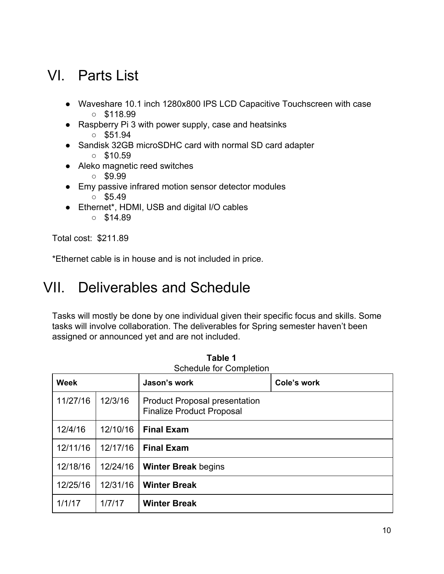## <span id="page-10-0"></span>VI. Parts List

- Waveshare 10.1 inch 1280x800 IPS LCD Capacitive Touchscreen with case  $\circ$  \$118.99
- Raspberry Pi 3 with power supply, case and heatsinks
	- $\circ$  \$51.94
- Sandisk 32GB microSDHC card with normal SD card adapter  $\circ$  \$10.59
- Aleko magnetic reed switches
	- $\circ$  \$9.99
- Emy passive infrared motion sensor detector modules
	- $\circ$  \$5.49
- Ethernet\*, HDMI, USB and digital I/O cables
	- $\circ$  \$14.89

Total cost: \$211.89

<span id="page-10-1"></span>\*Ethernet cable is in house and is not included in price.

## VII. Deliverables and Schedule

Tasks will mostly be done by one individual given their specific focus and skills. Some tasks will involve collaboration. The deliverables for Spring semester haven't been assigned or announced yet and are not included.

| <b>Week</b> |          | Jason's work                                                             | Cole's work |
|-------------|----------|--------------------------------------------------------------------------|-------------|
| 11/27/16    | 12/3/16  | <b>Product Proposal presentation</b><br><b>Finalize Product Proposal</b> |             |
| 12/4/16     | 12/10/16 | <b>Final Exam</b>                                                        |             |
| 12/11/16    | 12/17/16 | <b>Final Exam</b>                                                        |             |
| 12/18/16    | 12/24/16 | <b>Winter Break begins</b>                                               |             |
| 12/25/16    | 12/31/16 | <b>Winter Break</b>                                                      |             |
| 1/1/17      | 1/7/17   | <b>Winter Break</b>                                                      |             |

**Table 1** Schedule for Completion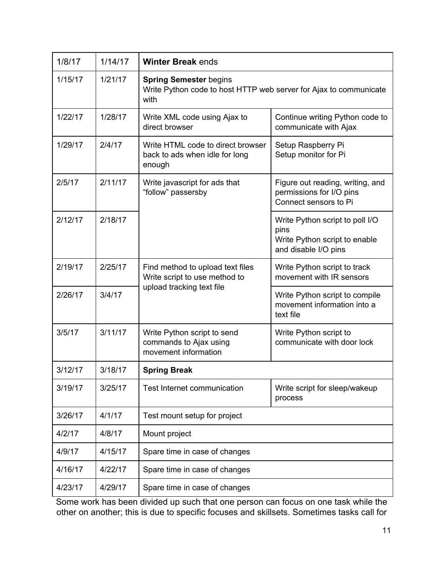| 1/8/17  | 1/14/17 | <b>Winter Break ends</b>                                                                                   |                                                                                                  |  |
|---------|---------|------------------------------------------------------------------------------------------------------------|--------------------------------------------------------------------------------------------------|--|
| 1/15/17 | 1/21/17 | <b>Spring Semester begins</b><br>Write Python code to host HTTP web server for Ajax to communicate<br>with |                                                                                                  |  |
| 1/22/17 | 1/28/17 | Write XML code using Ajax to<br>direct browser                                                             | Continue writing Python code to<br>communicate with Ajax                                         |  |
| 1/29/17 | 2/4/17  | Write HTML code to direct browser<br>back to ads when idle for long<br>enough                              | Setup Raspberry Pi<br>Setup monitor for Pi                                                       |  |
| 2/5/17  | 2/11/17 | Write javascript for ads that<br>"follow" passersby                                                        | Figure out reading, writing, and<br>permissions for I/O pins<br>Connect sensors to Pi            |  |
| 2/12/17 | 2/18/17 |                                                                                                            | Write Python script to poll I/O<br>pins<br>Write Python script to enable<br>and disable I/O pins |  |
| 2/19/17 | 2/25/17 | Find method to upload text files<br>Write script to use method to<br>upload tracking text file             | Write Python script to track<br>movement with IR sensors                                         |  |
| 2/26/17 | 3/4/17  |                                                                                                            | Write Python script to compile<br>movement information into a<br>text file                       |  |
| 3/5/17  | 3/11/17 | Write Python script to send<br>commands to Ajax using<br>movement information                              | Write Python script to<br>communicate with door lock                                             |  |
| 3/12/17 | 3/18/17 | <b>Spring Break</b>                                                                                        |                                                                                                  |  |
| 3/19/17 | 3/25/17 | Test Internet communication                                                                                | Write script for sleep/wakeup<br>process                                                         |  |
| 3/26/17 | 4/1/17  | Test mount setup for project                                                                               |                                                                                                  |  |
| 4/2/17  | 4/8/17  | Mount project                                                                                              |                                                                                                  |  |
| 4/9/17  | 4/15/17 | Spare time in case of changes                                                                              |                                                                                                  |  |
| 4/16/17 | 4/22/17 | Spare time in case of changes                                                                              |                                                                                                  |  |
| 4/23/17 | 4/29/17 | Spare time in case of changes                                                                              |                                                                                                  |  |

Some work has been divided up such that one person can focus on one task while the other on another; this is due to specific focuses and skillsets. Sometimes tasks call for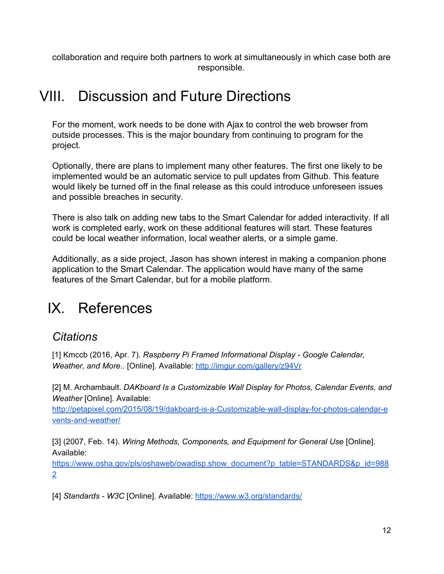collaboration and require both partners to work at simultaneously in which case both are responsible.

### <span id="page-12-2"></span>VIII. Discussion and Future Directions

For the moment, work needs to be done with Ajax to control the web browser from outside processes. This is the major boundary from continuing to program for the project.

Optionally, there are plans to implement many other features. The first one likely to be implemented would be an automatic service to pull updates from Github. This feature would likely be turned off in the final release as this could introduce unforeseen issues and possible breaches in security.

There is also talk on adding new tabs to the Smart Calendar for added interactivity. If all work is completed early, work on these additional features will start. These features could be local weather information, local weather alerts, or a simple game.

Additionally, as a side project, Jason has shown interest in making a companion phone application to the Smart Calendar. The application would have many of the same features of the Smart Calendar, but for a mobile platform.

## <span id="page-12-1"></span>IX. References

### <span id="page-12-0"></span>*Citations*

[1] Kmccb (2016, Apr. 7). *Raspberry Pi Framed Informational Display - Google Calendar, Weather, and More..* [Online]. Available: <http://imgur.com/gallery/z94Vr>

[2] M. Archambault. *DAKboard Is a Customizable Wall Display for Photos, Calendar Events, and Weather* [Online]. Available:

[http://petapixel.com/2015/08/19/dakboard-is-a-C](http://petapixel.com/2015/08/19/dakboard-is-a-)ustomizable-wall-display-for-photos-calendar-e vents-and-weather/

[3] (2007, Feb. 14). *Wiring Methods, Components, and Equipment for General Use* [Online]. Available:

[https://www.osha.gov/pls/oshaweb/owadisp.show\\_document?](https://www.osha.gov/pls/oshaweb/owadisp.show_document)p\_table=STANDARDS&p\_id=988 2

[4] *Standards - W3C* [Online]. Available: <https://www.w3.org/standards/>